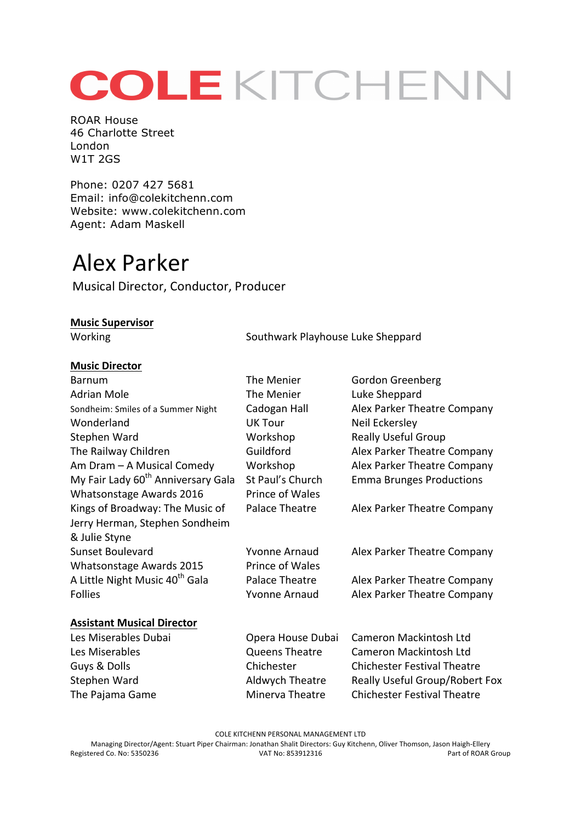# COLEKITCHENN

ROAR House 46 Charlotte Street London W1T 2GS

Phone: 0207 427 5681 Email: info@colekitchenn.com Website: www.colekitchenn.com Agent: Adam Maskell

## Alex Parker

Musical Director, Conductor, Producer

#### **Music Supervisor**

Working Working Southwark Playhouse Luke Sheppard

#### **Music Director**

| <b>Barnum</b>                                  | The Menier             | Gordon Greenberg                      |
|------------------------------------------------|------------------------|---------------------------------------|
| <b>Adrian Mole</b>                             | The Menier             | Luke Sheppard                         |
| Sondheim: Smiles of a Summer Night             | Cadogan Hall           | Alex Parker Theatre Company           |
| Wonderland                                     | <b>UK Tour</b>         | Neil Eckersley                        |
| Stephen Ward                                   | Workshop               | <b>Really Useful Group</b>            |
| The Railway Children                           | Guildford              | Alex Parker Theatre Company           |
| Am Dram - A Musical Comedy                     | Workshop               | Alex Parker Theatre Company           |
| My Fair Lady 60 <sup>th</sup> Anniversary Gala | St Paul's Church       | <b>Emma Brunges Productions</b>       |
| Whatsonstage Awards 2016                       | Prince of Wales        |                                       |
| Kings of Broadway: The Music of                | Palace Theatre         | Alex Parker Theatre Company           |
| Jerry Herman, Stephen Sondheim                 |                        |                                       |
| & Julie Styne                                  |                        |                                       |
| <b>Sunset Boulevard</b>                        | Yvonne Arnaud          | Alex Parker Theatre Company           |
| Whatsonstage Awards 2015                       | <b>Prince of Wales</b> |                                       |
| A Little Night Music 40 <sup>th</sup> Gala     | Palace Theatre         | Alex Parker Theatre Company           |
| <b>Follies</b>                                 | <b>Yvonne Arnaud</b>   | Alex Parker Theatre Company           |
| <b>Assistant Musical Director</b>              |                        |                                       |
| Les Miserables Dubai                           | Opera House Dubai      | Cameron Mackintosh Ltd                |
| Les Miserables                                 | <b>Queens Theatre</b>  | <b>Cameron Mackintosh Ltd</b>         |
| Guys & Dolls                                   | Chichester             | <b>Chichester Festival Theatre</b>    |
| Stephen Ward                                   | Aldwych Theatre        | <b>Really Useful Group/Robert Fox</b> |
| The Pajama Game                                | Minerva Theatre        | <b>Chichester Festival Theatre</b>    |

COLE KITCHENN PERSONAL MANAGEMENT LTD